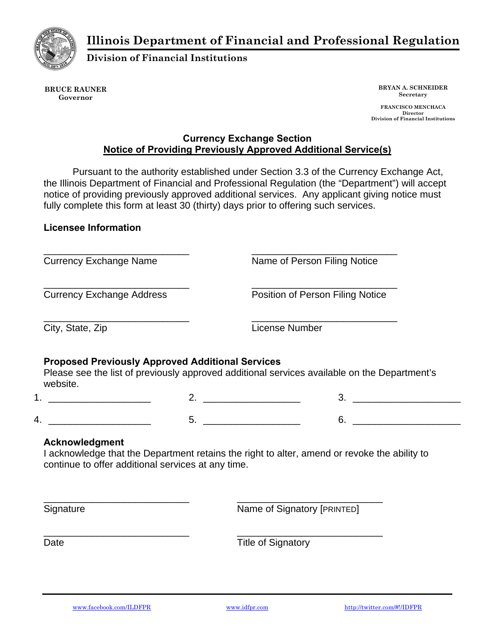**Illinois Department of Financial and Professional Regulation** 



**Division of Financial Institutions** 

**BRUCE RAUNER Governor** 

**BRYAN A. SCHNEIDER Secretary** 

 **FRANCISCO MENCHACA Director Division of Financial Institutions** 

## **Currency Exchange Section Notice of Providing Previously Approved Additional Service(s)**

Pursuant to the authority established under Section 3.3 of the Currency Exchange Act, the Illinois Department of Financial and Professional Regulation (the "Department") will accept notice of providing previously approved additional services. Any applicant giving notice must fully complete this form at least 30 (thirty) days prior to offering such services.

## **Licensee Information**

\_\_\_\_\_\_\_\_\_\_\_\_\_\_\_\_\_\_\_\_\_\_\_\_\_\_\_ Currency Exchange Name

Currency Exchange Address

\_\_\_\_\_\_\_\_\_\_\_\_\_\_\_\_\_\_\_\_\_\_\_\_\_\_\_

\_\_\_\_\_\_\_\_\_\_\_\_\_\_\_\_\_\_\_\_\_\_\_\_\_\_\_

Name of Person Filing Notice

\_\_\_\_\_\_\_\_\_\_\_\_\_\_\_\_\_\_\_\_\_\_\_\_\_\_\_

\_\_\_\_\_\_\_\_\_\_\_\_\_\_\_\_\_\_\_\_\_\_\_\_\_\_\_ Position of Person Filing Notice

\_\_\_\_\_\_\_\_\_\_\_\_\_\_\_\_\_\_\_\_\_\_\_\_\_\_\_

City, State, Zip

License Number

## **Proposed Previously Approved Additional Services**

Please see the list of previously approved additional services available on the Department's website.

 $1.$   $2.$   $2.$   $3.$   $3.$ 4. \_\_\_\_\_\_\_\_\_\_\_\_\_\_\_\_\_\_\_ 5. \_\_\_\_\_\_\_\_\_\_\_\_\_\_\_\_\_\_ 6. \_\_\_\_\_\_\_\_\_\_\_\_\_\_\_\_\_\_\_\_

## **Acknowledgment**

I acknowledge that the Department retains the right to alter, amend or revoke the ability to continue to offer additional services at any time.

**Signature** 

Name of Signatory [PRINTED]

\_\_\_\_\_\_\_\_\_\_\_\_\_\_\_\_\_\_\_\_\_\_\_\_\_\_\_

\_\_\_\_\_\_\_\_\_\_\_\_\_\_\_\_\_\_\_\_\_\_\_\_\_\_\_

Date

Title of Signatory

\_\_\_\_\_\_\_\_\_\_\_\_\_\_\_\_\_\_\_\_\_\_\_\_\_\_\_

\_\_\_\_\_\_\_\_\_\_\_\_\_\_\_\_\_\_\_\_\_\_\_\_\_\_\_